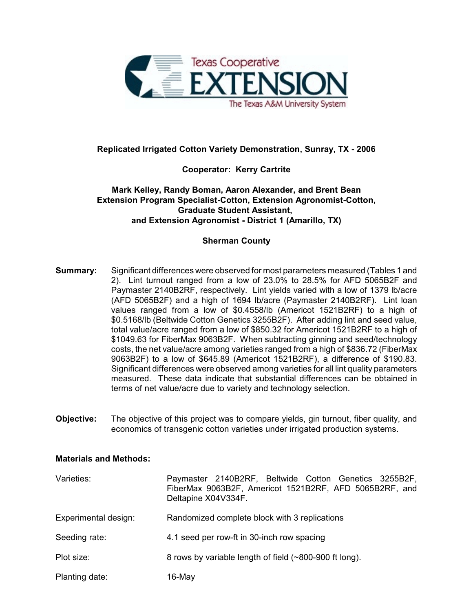

# **Replicated Irrigated Cotton Variety Demonstration, Sunray, TX - 2006**

## **Cooperator: Kerry Cartrite**

## **Mark Kelley, Randy Boman, Aaron Alexander, and Brent Bean Extension Program Specialist-Cotton, Extension Agronomist-Cotton, Graduate Student Assistant, and Extension Agronomist - District 1 (Amarillo, TX)**

### **Sherman County**

- **Summary:** Significant differences were observed for most parameters measured (Tables 1 and 2). Lint turnout ranged from a low of 23.0% to 28.5% for AFD 5065B2F and Paymaster 2140B2RF, respectively. Lint yields varied with a low of 1379 lb/acre (AFD 5065B2F) and a high of 1694 lb/acre (Paymaster 2140B2RF). Lint loan values ranged from a low of \$0.4558/lb (Americot 1521B2RF) to a high of \$0.5168/lb (Beltwide Cotton Genetics 3255B2F). After adding lint and seed value, total value/acre ranged from a low of \$850.32 for Americot 1521B2RF to a high of \$1049.63 for FiberMax 9063B2F. When subtracting ginning and seed/technology costs, the net value/acre among varieties ranged from a high of \$836.72 (FiberMax 9063B2F) to a low of \$645.89 (Americot 1521B2RF), a difference of \$190.83. Significant differences were observed among varieties for all lint quality parameters measured. These data indicate that substantial differences can be obtained in terms of net value/acre due to variety and technology selection.
- **Objective:** The objective of this project was to compare yields, gin turnout, fiber quality, and economics of transgenic cotton varieties under irrigated production systems.

#### **Materials and Methods:**

| Varieties:           | Paymaster 2140B2RF, Beltwide Cotton Genetics 3255B2F,<br>FiberMax 9063B2F, Americot 1521B2RF, AFD 5065B2RF, and<br>Deltapine X04V334F. |
|----------------------|----------------------------------------------------------------------------------------------------------------------------------------|
| Experimental design: | Randomized complete block with 3 replications                                                                                          |
| Seeding rate:        | 4.1 seed per row-ft in 30-inch row spacing                                                                                             |
| Plot size:           | 8 rows by variable length of field (~800-900 ft long).                                                                                 |
| Planting date:       | $16$ -May                                                                                                                              |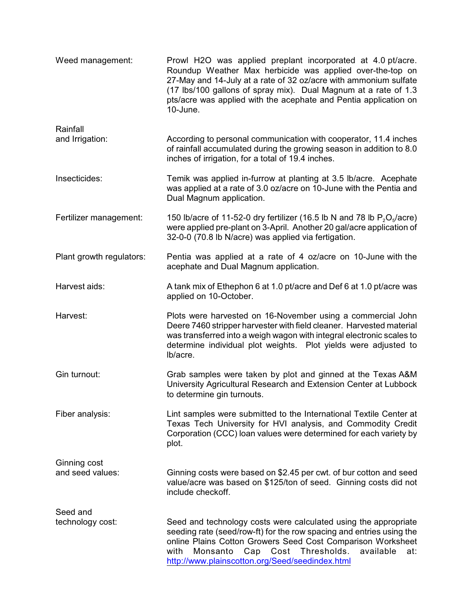| Weed management:                 | Prowl H2O was applied preplant incorporated at 4.0 pt/acre.<br>Roundup Weather Max herbicide was applied over-the-top on<br>27-May and 14-July at a rate of 32 oz/acre with ammonium sulfate<br>(17 lbs/100 gallons of spray mix). Dual Magnum at a rate of 1.3<br>pts/acre was applied with the acephate and Pentia application on<br>10-June. |
|----------------------------------|-------------------------------------------------------------------------------------------------------------------------------------------------------------------------------------------------------------------------------------------------------------------------------------------------------------------------------------------------|
| Rainfall<br>and Irrigation:      | According to personal communication with cooperator, 11.4 inches<br>of rainfall accumulated during the growing season in addition to 8.0<br>inches of irrigation, for a total of 19.4 inches.                                                                                                                                                   |
| Insecticides:                    | Temik was applied in-furrow at planting at 3.5 lb/acre. Acephate<br>was applied at a rate of 3.0 oz/acre on 10-June with the Pentia and<br>Dual Magnum application.                                                                                                                                                                             |
| Fertilizer management:           | 150 lb/acre of 11-52-0 dry fertilizer (16.5 lb N and 78 lb $P_2O_5/(\text{acre})$ )<br>were applied pre-plant on 3-April. Another 20 gal/acre application of<br>32-0-0 (70.8 lb N/acre) was applied via fertigation.                                                                                                                            |
| Plant growth regulators:         | Pentia was applied at a rate of 4 oz/acre on 10-June with the<br>acephate and Dual Magnum application.                                                                                                                                                                                                                                          |
| Harvest aids:                    | A tank mix of Ethephon 6 at 1.0 pt/acre and Def 6 at 1.0 pt/acre was<br>applied on 10-October.                                                                                                                                                                                                                                                  |
| Harvest:                         | Plots were harvested on 16-November using a commercial John<br>Deere 7460 stripper harvester with field cleaner. Harvested material<br>was transferred into a weigh wagon with integral electronic scales to<br>determine individual plot weights. Plot yields were adjusted to<br>lb/acre.                                                     |
| Gin turnout:                     | Grab samples were taken by plot and ginned at the Texas A&M<br>University Agricultural Research and Extension Center at Lubbock<br>to determine gin turnouts.                                                                                                                                                                                   |
| Fiber analysis:                  | Lint samples were submitted to the International Textile Center at<br>Texas Tech University for HVI analysis, and Commodity Credit<br>Corporation (CCC) loan values were determined for each variety by<br>plot.                                                                                                                                |
| Ginning cost<br>and seed values: | Ginning costs were based on \$2.45 per cwt. of bur cotton and seed<br>value/acre was based on \$125/ton of seed. Ginning costs did not<br>include checkoff.                                                                                                                                                                                     |
| Seed and<br>technology cost:     | Seed and technology costs were calculated using the appropriate<br>seeding rate (seed/row-ft) for the row spacing and entries using the<br>online Plains Cotton Growers Seed Cost Comparison Worksheet<br>Monsanto<br>Cost<br>Thresholds.<br>with<br>Cap<br>available<br>at:<br>http://www.plainscotton.org/Seed/seedindex.html                 |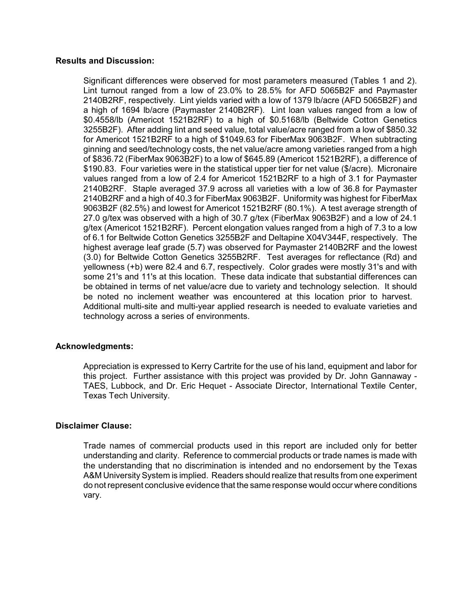#### **Results and Discussion:**

Significant differences were observed for most parameters measured (Tables 1 and 2). Lint turnout ranged from a low of 23.0% to 28.5% for AFD 5065B2F and Paymaster 2140B2RF, respectively. Lint yields varied with a low of 1379 lb/acre (AFD 5065B2F) and a high of 1694 lb/acre (Paymaster 2140B2RF). Lint loan values ranged from a low of \$0.4558/lb (Americot 1521B2RF) to a high of \$0.5168/lb (Beltwide Cotton Genetics 3255B2F). After adding lint and seed value, total value/acre ranged from a low of \$850.32 for Americot 1521B2RF to a high of \$1049.63 for FiberMax 9063B2F. When subtracting ginning and seed/technology costs, the net value/acre among varieties ranged from a high of \$836.72 (FiberMax 9063B2F) to a low of \$645.89 (Americot 1521B2RF), a difference of \$190.83. Four varieties were in the statistical upper tier for net value (\$/acre). Micronaire values ranged from a low of 2.4 for Americot 1521B2RF to a high of 3.1 for Paymaster 2140B2RF. Staple averaged 37.9 across all varieties with a low of 36.8 for Paymaster 2140B2RF and a high of 40.3 for FiberMax 9063B2F. Uniformity was highest for FiberMax 9063B2F (82.5%) and lowest for Americot 1521B2RF (80.1%). A test average strength of 27.0 g/tex was observed with a high of 30.7 g/tex (FiberMax 9063B2F) and a low of 24.1 g/tex (Americot 1521B2RF). Percent elongation values ranged from a high of 7.3 to a low of 6.1 for Beltwide Cotton Genetics 3255B2F and Deltapine X04V344F, respectively. The highest average leaf grade (5.7) was observed for Paymaster 2140B2RF and the lowest (3.0) for Beltwide Cotton Genetics 3255B2RF. Test averages for reflectance (Rd) and yellowness (+b) were 82.4 and 6.7, respectively. Color grades were mostly 31's and with some 21's and 11's at this location. These data indicate that substantial differences can be obtained in terms of net value/acre due to variety and technology selection. It should be noted no inclement weather was encountered at this location prior to harvest. Additional multi-site and multi-year applied research is needed to evaluate varieties and technology across a series of environments.

#### **Acknowledgments:**

Appreciation is expressed to Kerry Cartrite for the use of his land, equipment and labor for this project. Further assistance with this project was provided by Dr. John Gannaway - TAES, Lubbock, and Dr. Eric Hequet - Associate Director, International Textile Center, Texas Tech University.

#### **Disclaimer Clause:**

Trade names of commercial products used in this report are included only for better understanding and clarity. Reference to commercial products or trade names is made with the understanding that no discrimination is intended and no endorsement by the Texas A&M University System is implied. Readers should realize that results from one experiment do not represent conclusive evidence that the same response would occur where conditions vary.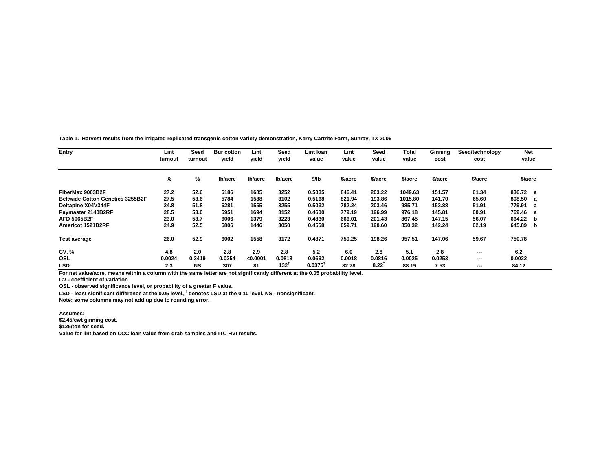**Table 1. Harvest results from the irrigated replicated transgenic cotton variety demonstration, Kerry Cartrite Farm, Sunray, TX 2006.**

| Entry                                   | Lint<br>Seed<br>turnout<br>turnout |           | <b>Bur cotton</b><br>vield | Lint<br>vield | Seed<br>vield | Lint Ioan<br>value | Lint<br>value | Seed<br>value | <b>Total</b><br>value | <b>Ginning</b><br>cost | Seed/technology<br>cost  | <b>Net</b><br>value |  |
|-----------------------------------------|------------------------------------|-----------|----------------------------|---------------|---------------|--------------------|---------------|---------------|-----------------------|------------------------|--------------------------|---------------------|--|
|                                         | %                                  | %         | lb/acre                    | lb/acre       | Ib/acre       | \$/lb              | \$/acre       | \$/acre       | \$/acre               | \$/acre                | \$/acre                  | \$/acre             |  |
| FiberMax 9063B2F                        | 27.2                               | 52.6      | 6186                       | 1685          | 3252          | 0.5035             | 846.41        | 203.22        | 1049.63               | 151.57                 | 61.34                    | 836.72 a            |  |
| <b>Beltwide Cotton Genetics 3255B2F</b> | 27.5                               | 53.6      | 5784                       | 1588          | 3102          | 0.5168             | 821.94        | 193.86        | 1015.80               | 141.70                 | 65.60                    | 808.50<br>a         |  |
| Deltapine X04V344F                      | 24.8                               | 51.8      | 6281                       | 1555          | 3255          | 0.5032             | 782.24        | 203.46        | 985.71                | 153.88                 | 51.91                    | 779.91<br>a         |  |
| Paymaster 2140B2RF                      | 28.5                               | 53.0      | 5951                       | 1694          | 3152          | 0.4600             | 779.19        | 196.99        | 976.18                | 145.81                 | 60.91                    | 769.46<br>a         |  |
| <b>AFD 5065B2F</b>                      | 23.0                               | 53.7      | 6006                       | 1379          | 3223          | 0.4830             | 666.01        | 201.43        | 867.45                | 147.15                 | 56.07                    | 664.22<br>b         |  |
| Americot 1521B2RF                       | 24.9                               | 52.5      | 5806                       | 1446          | 3050          | 0.4558             | 659.71        | 190.60        | 850.32                | 142.24                 | 62.19                    | 645.89<br>b         |  |
| <b>Test average</b>                     | 26.0                               | 52.9      | 6002                       | 1558          | 3172          | 0.4871             | 759.25        | 198.26        | 957.51                | 147.06                 | 59.67                    | 750.78              |  |
| <b>CV, %</b>                            | 4.8                                | 2.0       | 2.8                        | 2.9           | 2.8           | 5.2                | 6.0           | 2.8           | 5.1                   | 2.8                    | $- - -$                  | 6.2                 |  |
| OSL                                     | 0.0024                             | 0.3419    | 0.0254                     | < 0.0001      | 0.0818        | 0.0692             | 0.0018        | 0.0816        | 0.0025                | 0.0253                 | $- - -$                  | 0.0022              |  |
| <b>LSD</b>                              | 2.3                                | <b>NS</b> | 307                        | 81            | 132           | 0.0375             | 82.78         | $8.22^{T}$    | 88.19                 | 7.53                   | $\overline{\phantom{a}}$ | 84.12               |  |

**For net value/acre, means within a column with the same letter are not significantly different at the 0.05 probability level.**

**CV - coefficient of variation.**

**OSL - observed significance level, or probability of a greater F value.**

**LSD - least significant difference at the 0.05 level, † denotes LSD at the 0.10 level, NS - nonsignificant.**

**Note: some columns may not add up due to rounding error.**

**Assumes:**

**\$2.45/cwt ginning cost.**

**\$125/ton for seed.**

**Value for lint based on CCC loan value from grab samples and ITC HVI results.**